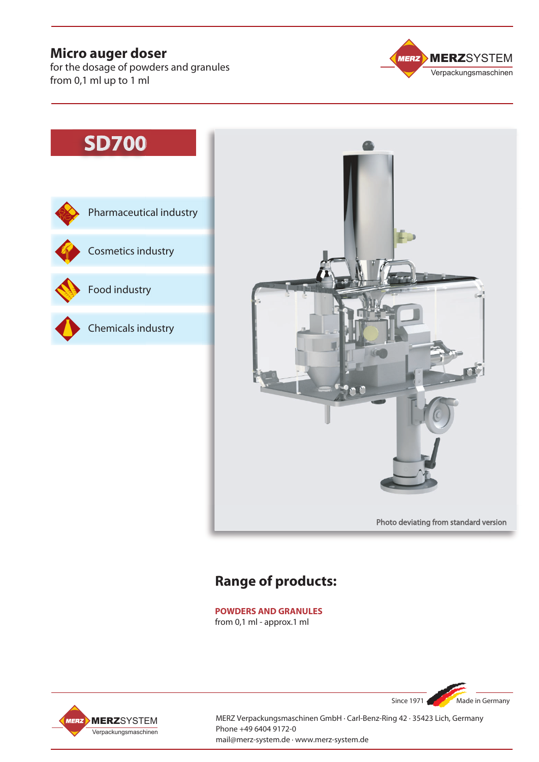# **Micro auger doser**

for the dosage of powders and granules from 0,1 ml up to 1 ml



# **SD700**





# **Range of products:**

**POWDERS AND GRANULES** from 0,1 ml - approx.1 ml



MERZ Verpackungsmaschinen GmbH · Carl-Benz-Ring 42 · 35423 Lich, Germany Phone +49 6404 9172-0 mail@merz-system.de · www.merz-system.de